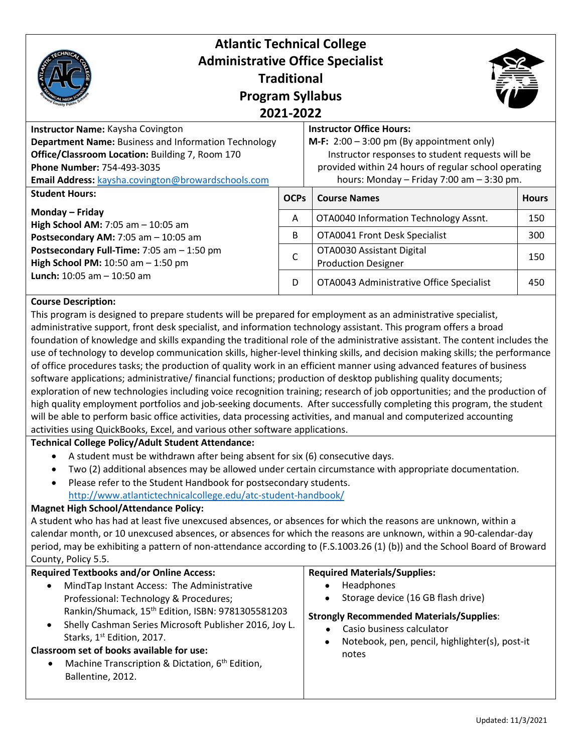| <b>Atlantic Technical College</b><br><b>Administrative Office Specialist</b><br><b>Program Syllabus</b>                                                                                                                                        | <b>Traditional</b><br>2021-2022 |                                                                                                                                                                                                                                                    |              |
|------------------------------------------------------------------------------------------------------------------------------------------------------------------------------------------------------------------------------------------------|---------------------------------|----------------------------------------------------------------------------------------------------------------------------------------------------------------------------------------------------------------------------------------------------|--------------|
| Instructor Name: Kaysha Covington<br><b>Department Name: Business and Information Technology</b><br>Office/Classroom Location: Building 7, Room 170<br><b>Phone Number: 754-493-3035</b><br>Email Address: kaysha.covington@browardschools.com |                                 | <b>Instructor Office Hours:</b><br><b>M-F:</b> $2:00 - 3:00$ pm (By appointment only)<br>Instructor responses to student requests will be<br>provided within 24 hours of regular school operating<br>hours: Monday $-$ Friday 7:00 am $-$ 3:30 pm. |              |
| <b>Student Hours:</b>                                                                                                                                                                                                                          | <b>OCPS</b>                     | <b>Course Names</b>                                                                                                                                                                                                                                | <b>Hours</b> |
| Monday – Friday<br>High School AM: $7:05$ am $-10:05$ am                                                                                                                                                                                       | A                               | OTA0040 Information Technology Assnt.                                                                                                                                                                                                              | 150          |
| Postsecondary AM: $7:05$ am $-10:05$ am<br>Postsecondary Full-Time: 7:05 am - 1:50 pm<br>High School PM: $10:50$ am $- 1:50$ pm<br><b>Lunch:</b> 10:05 am $-$ 10:50 am                                                                         | B                               | OTA0041 Front Desk Specialist                                                                                                                                                                                                                      | 300          |
|                                                                                                                                                                                                                                                | C                               | OTA0030 Assistant Digital<br><b>Production Designer</b>                                                                                                                                                                                            | 150          |
|                                                                                                                                                                                                                                                | D                               | OTA0043 Administrative Office Specialist                                                                                                                                                                                                           | 450          |

# **Course Description:**

This program is designed to prepare students will be prepared for employment as an administrative specialist, administrative support, front desk specialist, and information technology assistant. This program offers a broad foundation of knowledge and skills expanding the traditional role of the administrative assistant. The content includes the use of technology to develop communication skills, higher-level thinking skills, and decision making skills; the performance of office procedures tasks; the production of quality work in an efficient manner using advanced features of business software applications; administrative/ financial functions; production of desktop publishing quality documents; exploration of new technologies including voice recognition training; research of job opportunities; and the production of high quality employment portfolios and job-seeking documents. After successfully completing this program, the student will be able to perform basic office activities, data processing activities, and manual and computerized accounting activities using QuickBooks, Excel, and various other software applications.

# **Technical College Policy/Adult Student Attendance:**

- A student must be withdrawn after being absent for six (6) consecutive days.
- Two (2) additional absences may be allowed under certain circumstance with appropriate documentation.
- Please refer to the Student Handbook for postsecondary students. <http://www.atlantictechnicalcollege.edu/atc-student-handbook/>

# **Magnet High School/Attendance Policy:**

A student who has had at least five unexcused absences, or absences for which the reasons are unknown, within a calendar month, or 10 unexcused absences, or absences for which the reasons are unknown, within a 90-calendar-day period, may be exhibiting a pattern of non-attendance according to (F.S.1003.26 (1) (b)) and the School Board of Broward County, Policy 5.5.

| <b>Required Textbooks and/or Online Access:</b>               | <b>Required Materials/Supplies:</b>             |
|---------------------------------------------------------------|-------------------------------------------------|
| MindTap Instant Access: The Administrative                    | Headphones                                      |
| Professional: Technology & Procedures;                        | Storage device (16 GB flash drive)              |
| Rankin/Shumack, 15 <sup>th</sup> Edition, ISBN: 9781305581203 | $\bullet$                                       |
| Shelly Cashman Series Microsoft Publisher 2016, Joy L.        | <b>Strongly Recommended Materials/Supplies:</b> |
| Starks, 1 <sup>st</sup> Edition, 2017.                        | Casio business calculator                       |
| Classroom set of books available for use:                     | Notebook, pen, pencil, highlighter(s), post-it  |
| Machine Transcription & Dictation, 6 <sup>th</sup> Edition,   | $\bullet$                                       |
| Ballentine, 2012.                                             | notes                                           |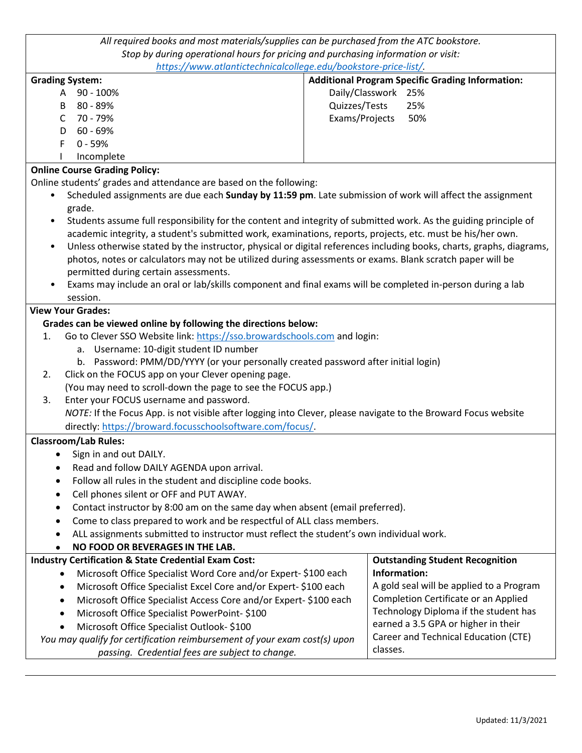| All required books and most materials/supplies can be purchased from the ATC bookstore.                           |                                                                                                                      |  |  |
|-------------------------------------------------------------------------------------------------------------------|----------------------------------------------------------------------------------------------------------------------|--|--|
| Stop by during operational hours for pricing and purchasing information or visit:                                 |                                                                                                                      |  |  |
| https://www.atlantictechnicalcollege.edu/bookstore-price-list/.                                                   |                                                                                                                      |  |  |
| <b>Grading System:</b>                                                                                            | <b>Additional Program Specific Grading Information:</b>                                                              |  |  |
| 90 - 100%<br>A                                                                                                    | Daily/Classwork 25%                                                                                                  |  |  |
| 80 - 89%<br>B                                                                                                     | Quizzes/Tests<br>25%                                                                                                 |  |  |
| 70 - 79%<br>$\mathsf{C}$                                                                                          | Exams/Projects<br>50%                                                                                                |  |  |
| 60 - 69%<br>D                                                                                                     |                                                                                                                      |  |  |
| F<br>$0 - 59%$                                                                                                    |                                                                                                                      |  |  |
| Incomplete                                                                                                        |                                                                                                                      |  |  |
| <b>Online Course Grading Policy:</b>                                                                              |                                                                                                                      |  |  |
| Online students' grades and attendance are based on the following:                                                |                                                                                                                      |  |  |
| ٠                                                                                                                 | Scheduled assignments are due each Sunday by 11:59 pm. Late submission of work will affect the assignment            |  |  |
| grade.                                                                                                            |                                                                                                                      |  |  |
|                                                                                                                   | Students assume full responsibility for the content and integrity of submitted work. As the guiding principle of     |  |  |
|                                                                                                                   | academic integrity, a student's submitted work, examinations, reports, projects, etc. must be his/her own.           |  |  |
| $\bullet$                                                                                                         | Unless otherwise stated by the instructor, physical or digital references including books, charts, graphs, diagrams, |  |  |
|                                                                                                                   | photos, notes or calculators may not be utilized during assessments or exams. Blank scratch paper will be            |  |  |
| permitted during certain assessments.                                                                             |                                                                                                                      |  |  |
|                                                                                                                   | Exams may include an oral or lab/skills component and final exams will be completed in-person during a lab           |  |  |
| session.                                                                                                          |                                                                                                                      |  |  |
| <b>View Your Grades:</b>                                                                                          |                                                                                                                      |  |  |
| Grades can be viewed online by following the directions below:                                                    |                                                                                                                      |  |  |
| Go to Clever SSO Website link: https://sso.browardschools.com and login:<br>1.                                    |                                                                                                                      |  |  |
| a. Username: 10-digit student ID number                                                                           |                                                                                                                      |  |  |
| b. Password: PMM/DD/YYYY (or your personally created password after initial login)                                |                                                                                                                      |  |  |
| Click on the FOCUS app on your Clever opening page.<br>2.                                                         |                                                                                                                      |  |  |
| (You may need to scroll-down the page to see the FOCUS app.)                                                      |                                                                                                                      |  |  |
| Enter your FOCUS username and password.<br>3.                                                                     |                                                                                                                      |  |  |
| NOTE: If the Focus App. is not visible after logging into Clever, please navigate to the Broward Focus website    |                                                                                                                      |  |  |
| directly: https://broward.focusschoolsoftware.com/focus/.                                                         |                                                                                                                      |  |  |
| <b>Classroom/Lab Rules:</b>                                                                                       |                                                                                                                      |  |  |
| Sign in and out DAILY.                                                                                            |                                                                                                                      |  |  |
| Read and follow DAILY AGENDA upon arrival.                                                                        |                                                                                                                      |  |  |
| Follow all rules in the student and discipline code books.                                                        |                                                                                                                      |  |  |
| Cell phones silent or OFF and PUT AWAY.                                                                           |                                                                                                                      |  |  |
| Contact instructor by 8:00 am on the same day when absent (email preferred).                                      |                                                                                                                      |  |  |
| Come to class prepared to work and be respectful of ALL class members.                                            |                                                                                                                      |  |  |
| ALL assignments submitted to instructor must reflect the student's own individual work.                           |                                                                                                                      |  |  |
| NO FOOD OR BEVERAGES IN THE LAB.                                                                                  |                                                                                                                      |  |  |
| <b>Industry Certification &amp; State Credential Exam Cost:</b>                                                   | <b>Outstanding Student Recognition</b>                                                                               |  |  |
| Microsoft Office Specialist Word Core and/or Expert-\$100 each<br>٠                                               | Information:                                                                                                         |  |  |
| Microsoft Office Specialist Excel Core and/or Expert-\$100 each<br>$\bullet$                                      | A gold seal will be applied to a Program                                                                             |  |  |
| Microsoft Office Specialist Access Core and/or Expert-\$100 each<br>٠                                             | Completion Certificate or an Applied                                                                                 |  |  |
| Microsoft Office Specialist PowerPoint-\$100<br>$\bullet$                                                         | Technology Diploma if the student has                                                                                |  |  |
| Microsoft Office Specialist Outlook- \$100<br>$\bullet$                                                           | earned a 3.5 GPA or higher in their                                                                                  |  |  |
| Career and Technical Education (CTE)<br>You may qualify for certification reimbursement of your exam cost(s) upon |                                                                                                                      |  |  |
| passing. Credential fees are subject to change.                                                                   | classes.                                                                                                             |  |  |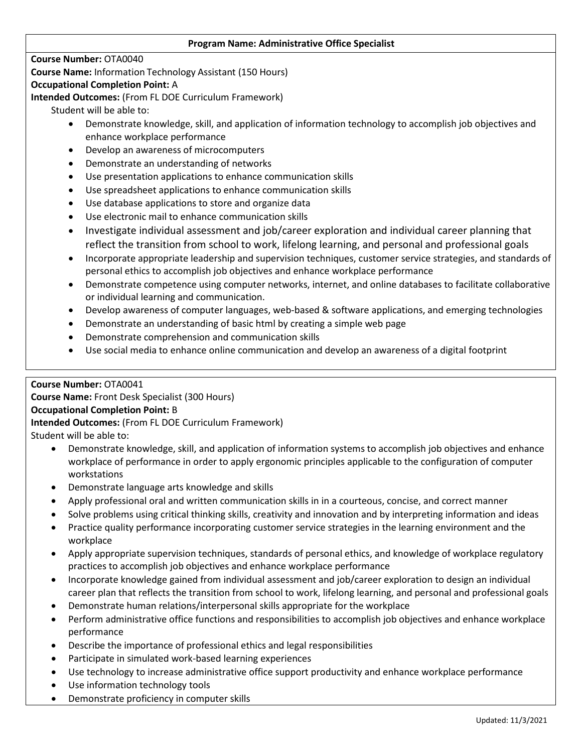#### **Program Name: Administrative Office Specialist**

#### **Course Number:** OTA0040

**Course Name:** Information Technology Assistant (150 Hours)

#### **Occupational Completion Point:** A

**Intended Outcomes:** (From FL DOE Curriculum Framework)

Student will be able to:

- Demonstrate knowledge, skill, and application of information technology to accomplish job objectives and enhance workplace performance
- Develop an awareness of microcomputers
- Demonstrate an understanding of networks
- Use presentation applications to enhance communication skills
- Use spreadsheet applications to enhance communication skills
- Use database applications to store and organize data
- Use electronic mail to enhance communication skills
- Investigate individual assessment and job/career exploration and individual career planning that reflect the transition from school to work, lifelong learning, and personal and professional goals
- Incorporate appropriate leadership and supervision techniques, customer service strategies, and standards of personal ethics to accomplish job objectives and enhance workplace performance
- Demonstrate competence using computer networks, internet, and online databases to facilitate collaborative or individual learning and communication.
- Develop awareness of computer languages, web-based & software applications, and emerging technologies
- Demonstrate an understanding of basic html by creating a simple web page
- Demonstrate comprehension and communication skills
- Use social media to enhance online communication and develop an awareness of a digital footprint

# **Course Number:** OTA0041

**Course Name:** Front Desk Specialist (300 Hours)

# **Occupational Completion Point:** B

**Intended Outcomes:** (From FL DOE Curriculum Framework)

Student will be able to:

- Demonstrate knowledge, skill, and application of information systems to accomplish job objectives and enhance workplace of performance in order to apply ergonomic principles applicable to the configuration of computer workstations
- Demonstrate language arts knowledge and skills
- Apply professional oral and written communication skills in in a courteous, concise, and correct manner
- Solve problems using critical thinking skills, creativity and innovation and by interpreting information and ideas
- Practice quality performance incorporating customer service strategies in the learning environment and the workplace
- Apply appropriate supervision techniques, standards of personal ethics, and knowledge of workplace regulatory practices to accomplish job objectives and enhance workplace performance
- Incorporate knowledge gained from individual assessment and job/career exploration to design an individual career plan that reflects the transition from school to work, lifelong learning, and personal and professional goals
- Demonstrate human relations/interpersonal skills appropriate for the workplace
- Perform administrative office functions and responsibilities to accomplish job objectives and enhance workplace performance
- Describe the importance of professional ethics and legal responsibilities
- Participate in simulated work-based learning experiences
- Use technology to increase administrative office support productivity and enhance workplace performance
- Use information technology tools
- Demonstrate proficiency in computer skills